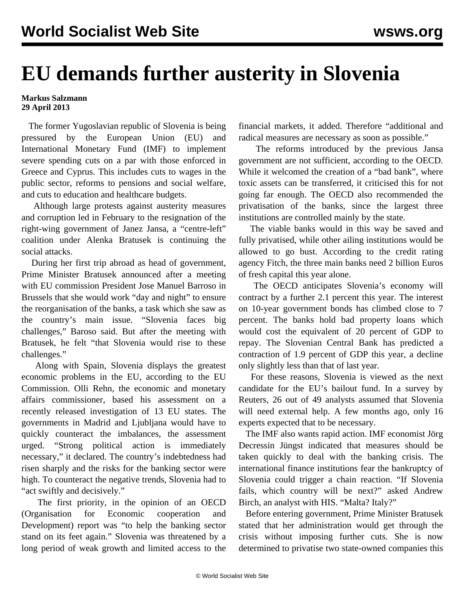## **EU demands further austerity in Slovenia**

## **Markus Salzmann 29 April 2013**

 The former Yugoslavian republic of Slovenia is being pressured by the European Union (EU) and International Monetary Fund (IMF) to implement severe spending cuts on a par with those enforced in Greece and Cyprus. This includes cuts to wages in the public sector, reforms to pensions and social welfare, and cuts to education and healthcare budgets.

 Although large protests against austerity measures and corruption led in February to the resignation of the right-wing government of Janez Jansa, a "centre-left" coalition under Alenka Bratusek is continuing the social attacks.

 During her first trip abroad as head of government, Prime Minister Bratusek announced after a meeting with EU commission President Jose Manuel Barroso in Brussels that she would work "day and night" to ensure the reorganisation of the banks, a task which she saw as the country's main issue. "Slovenia faces big challenges," Baroso said. But after the meeting with Bratusek, he felt "that Slovenia would rise to these challenges."

 Along with Spain, Slovenia displays the greatest economic problems in the EU, according to the EU Commission. Olli Rehn, the economic and monetary affairs commissioner, based his assessment on a recently released investigation of 13 EU states. The governments in Madrid and Ljubljana would have to quickly counteract the imbalances, the assessment urged. "Strong political action is immediately necessary," it declared. The country's indebtedness had risen sharply and the risks for the banking sector were high. To counteract the negative trends, Slovenia had to "act swiftly and decisively."

 The first priority, in the opinion of an OECD (Organisation for Economic cooperation and Development) report was "to help the banking sector stand on its feet again." Slovenia was threatened by a long period of weak growth and limited access to the financial markets, it added. Therefore "additional and radical measures are necessary as soon as possible."

 The reforms introduced by the previous Jansa government are not sufficient, according to the OECD. While it welcomed the creation of a "bad bank", where toxic assets can be transferred, it criticised this for not going far enough. The OECD also recommended the privatisation of the banks, since the largest three institutions are controlled mainly by the state.

 The viable banks would in this way be saved and fully privatised, while other ailing institutions would be allowed to go bust. According to the credit rating agency Fitch, the three main banks need 2 billion Euros of fresh capital this year alone.

 The OECD anticipates Slovenia's economy will contract by a further 2.1 percent this year. The interest on 10-year government bonds has climbed close to 7 percent. The banks hold bad property loans which would cost the equivalent of 20 percent of GDP to repay. The Slovenian Central Bank has predicted a contraction of 1.9 percent of GDP this year, a decline only slightly less than that of last year.

 For these reasons, Slovenia is viewed as the next candidate for the EU's bailout fund. In a survey by Reuters, 26 out of 49 analysts assumed that Slovenia will need external help. A few months ago, only 16 experts expected that to be necessary.

 The IMF also wants rapid action. IMF economist Jörg Decressin Jüngst indicated that measures should be taken quickly to deal with the banking crisis. The international finance institutions fear the bankruptcy of Slovenia could trigger a chain reaction. "If Slovenia fails, which country will be next?" asked Andrew Birch, an analyst with HIS. "Malta? Italy?"

 Before entering government, Prime Minister Bratusek stated that her administration would get through the crisis without imposing further cuts. She is now determined to privatise two state-owned companies this